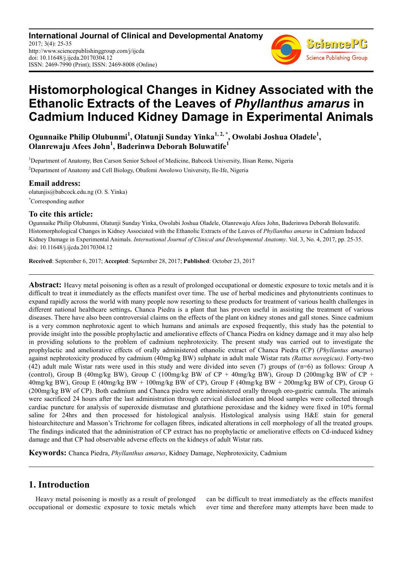**International Journal of Clinical and Developmental Anatomy** 2017; 3(4): 25-35 http://www.sciencepublishinggroup.com/j/ijcda doi: 10.11648/j.ijcda.20170304.12 ISSN: 2469-7990 (Print); ISSN: 2469-8008 (Online)



# **Histomorphological Changes in Kidney Associated with the Ethanolic Extracts of the Leaves of** *Phyllanthus amarus* **in Cadmium Induced Kidney Damage in Experimental Animals**

**Ogunnaike Philip Olubunmi<sup>1</sup> , Olatunji Sunday Yinka1, 2, \*, Owolabi Joshua Oladele<sup>1</sup> , Olanrewaju Afees John<sup>1</sup> , Baderinwa Deborah Boluwatife<sup>1</sup>**

<sup>1</sup>Department of Anatomy, Ben Carson Senior School of Medicine, Babcock University, Ilisan Remo, Nigeria <sup>2</sup>Department of Anatomy and Cell Biology, Obafemi Awolowo University, Ile-Ife, Nigeria

### **Email address:**

olatunjis@babcock.edu.ng (O. S. Yinka) \*Corresponding author

### **To cite this article:**

Ogunnaike Philip Olubunmi, Olatunji Sunday Yinka, Owolabi Joshua Oladele, Olanrewaju Afees John, Baderinwa Deborah Boluwatife. Histomorphological Changes in Kidney Associated with the Ethanolic Extracts of the Leaves of *Phyllanthus amarus* in Cadmium Induced Kidney Damage in Experimental Animals. *International Journal of Clinical and Developmental Anatomy*. Vol. 3, No. 4, 2017, pp. 25-35. doi: 10.11648/j.ijcda.20170304.12

**Received**: September 6, 2017; **Accepted**: September 28, 2017; **Published**: October 23, 2017

**Abstract:** Heavy metal poisoning is often as a result of prolonged occupational or domestic exposure to toxic metals and it is difficult to treat it immediately as the effects manifest over time. The use of herbal medicines and phytonutrients continues to expand rapidly across the world with many people now resorting to these products for treatment of various health challenges in different national healthcare settings**.** Chanca Piedra is a plant that has proven useful in assisting the treatment of various diseases. There have also been controversial claims on the effects of the plant on kidney stones and gall stones. Since cadmium is a very common nephrotoxic agent to which humans and animals are exposed frequently, this study has the potential to provide insight into the possible prophylactic and ameliorative effects of Chanca Piedra on kidney damage and it may also help in providing solutions to the problem of cadmium nephrotoxicity. The present study was carried out to investigate the prophylactic and ameliorative effects of orally administered ethanolic extract of Chanca Piedra (CP) (*Phyllantus amarus*) against nephrotoxicity produced by cadmium (40mg/kg BW) sulphate in adult male Wistar rats *(Rattus novegicus).* Forty-two (42) adult male Wistar rats were used in this study and were divided into seven (7) groups of (n=6) as follows: Group A (control), Group B (40mg/kg BW), Group C (100mg/kg BW of  $CP + 40$ mg/kg BW), Group D (200mg/kg BW of  $CP +$ 40mg/kg BW), Group E (40mg/kg BW + 100mg/kg BW of CP), Group F (40mg/kg BW + 200mg/kg BW of CP), Group G (200mg/kg BW of CP). Both cadmium and Chanca piedra were administered orally through oro-gastric cannula. The animals were sacrificed 24 hours after the last administration through cervical dislocation and blood samples were collected through cardiac puncture for analysis of superoxide dismutase and glutathione peroxidase and the kidney were fixed in 10% formal saline for 24hrs and then processed for histological analysis. Histological analysis using H&E stain for general histoarchitecture and Masson's Trichrome for collagen fibres, indicated alterations in cell morphology of all the treated groups. The findings indicated that the administration of CP extract has no prophylactic or ameliorative effects on Cd-induced kidney damage and that CP had observable adverse effects on the kidneys of adult Wistar rats.

**Keywords:** Chanca Piedra, *Phyllanthus amarus*, Kidney Damage, Nephrotoxicity, Cadmium

# **1. Introduction**

Heavy metal poisoning is mostly as a result of prolonged occupational or domestic exposure to toxic metals which can be difficult to treat immediately as the effects manifest over time and therefore many attempts have been made to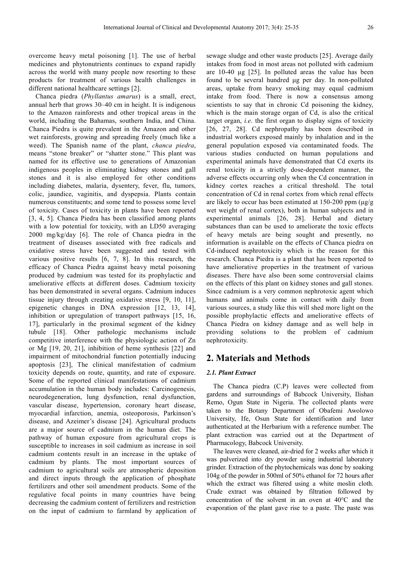overcome heavy metal poisoning [1]. The use of herbal medicines and phytonutrients continues to expand rapidly across the world with many people now resorting to these products for treatment of various health challenges in different national healthcare settings [2].

Chanca piedra (*Phyllantus amarus*) is a small, erect, annual herb that grows 30–40 cm in height. It is indigenous to the Amazon rainforests and other tropical areas in the world, including the Bahamas, southern India, and China. Chanca Piedra is quite prevalent in the Amazon and other wet rainforests, growing and spreading freely (much like a weed). The Spanish name of the plant, *chanca piedra*, means "stone breaker" or "shatter stone." This plant was named for its effective use to generations of Amazonian indigenous peoples in eliminating kidney stones and gall stones and it is also employed for other conditions including diabetes, malaria, dysentery, fever, flu, tumors, colic, jaundice, vaginitis, and dyspepsia. Plants contain numerous constituents; and some tend to possess some level of toxicity. Cases of toxicity in plants have been reported [3, 4, 5]. Chanca Piedra has been classified among plants with a low potential for toxicity, with an LD50 averaging 2000 mg/kg/day [6]. The role of Chanca piedra in the treatment of diseases associated with free radicals and oxidative stress have been suggested and tested with various positive results [6, 7, 8]. In this research, the efficacy of Chanca Piedra against heavy metal poisoning produced by cadmium was tested for its prophylactic and ameliorative effects at different doses. Cadmium toxicity has been demonstrated in several organs. Cadmium induces tissue injury through creating oxidative stress [9, 10, 11], epigenetic changes in DNA expression [12, 13, 14], inhibition or upregulation of transport pathways [15, 16, 17], particularly in the proximal segment of the kidney tubule [18]. Other pathologic mechanisms include competitive interference with the physiologic action of Zn or Mg [19, 20, 21], inhibition of heme synthesis [22] and impairment of mitochondrial function potentially inducing apoptosis [23], The clinical manifestation of cadmium toxicity depends on route, quantity, and rate of exposure. Some of the reported clinical manifestations of cadmium accumulation in the human body includes: Carcinogenesis, neurodegeneration, lung dysfunction, renal dysfunction, vascular disease, hypertension, coronary heart disease, myocardial infarction, anemia, osteoporosis, Parkinson's disease, and Azeimer's disease [24]. Agricultural products are a major source of cadmium in the human diet. The pathway of human exposure from agricultural crops is susceptible to increases in soil cadmium as increase in soil cadmium contents result in an increase in the uptake of cadmium by plants. The most important sources of cadmium to agricultural soils are atmospheric deposition and direct inputs through the application of phosphate fertilizers and other soil amendment products. Some of the regulative focal points in many countries have being decreasing the cadmium content of fertilizers and restriction on the input of cadmium to farmland by application of sewage sludge and other waste products [25]. Average daily intakes from food in most areas not polluted with cadmium are 10-40 µg [25]. In polluted areas the value has been found to be several hundred µg per day. In non-polluted areas, uptake from heavy smoking may equal cadmium intake from food. There is now a consensus among scientists to say that in chronic Cd poisoning the kidney, which is the main storage organ of Cd, is also the critical target organ, *i.e*. the first organ to display signs of toxicity [26, 27, 28]. Cd nephropathy has been described in industrial workers exposed mainly by inhalation and in the general population exposed via contaminated foods. The various studies conducted on human populations and experimental animals have demonstrated that Cd exerts its renal toxicity in a strictly dose-dependent manner, the adverse effects occurring only when the Cd concentration in kidney cortex reaches a critical threshold. The total concentration of Cd in renal cortex from which renal effects are likely to occur has been estimated at  $150-200$  ppm ( $\mu$ g/g wet weight of renal cortex), both in human subjects and in experimental animals [26, 28]. Herbal and dietary substances than can be used to ameliorate the toxic effects of heavy metals are being sought and presently, no information is available on the effects of Chanca piedra on Cd-induced nephrotoxicity which is the reason for this research. Chanca Piedra is a plant that has been reported to have ameliorative properties in the treatment of various diseases. There have also been some controversial claims on the effects of this plant on kidney stones and gall stones. Since cadmium is a very common nephrotoxic agent which humans and animals come in contact with daily from various sources, a study like this will shed more light on the possible prophylactic effects and ameliorative effects of Chanca Piedra on kidney damage and as well help in providing solutions to the problem of cadmium nephrotoxicity.

### **2. Materials and Methods**

#### *2.1. Plant Extract*

The Chanca piedra (C.P) leaves were collected from gardens and surroundings of Babcock University, Ilishan Remo, Ogun State in Nigeria. The collected plants were taken to the Botany Department of Obafemi Awolowo University, Ife, Osun State for identification and later authenticated at the Herbarium with a reference number. The plant extraction was carried out at the Department of Pharmacology, Babcock University.

The leaves were cleaned, air-dried for 2 weeks after which it was pulverized into dry powder using industrial laboratory grinder. Extraction of the phytochemicals was done by soaking 104g of the powder in 500ml of 50% ethanol for 72 hours after which the extract was filtered using a white moslin cloth. Crude extract was obtained by filtration followed by concentration of the solvent in an oven at 40°C and the evaporation of the plant gave rise to a paste. The paste was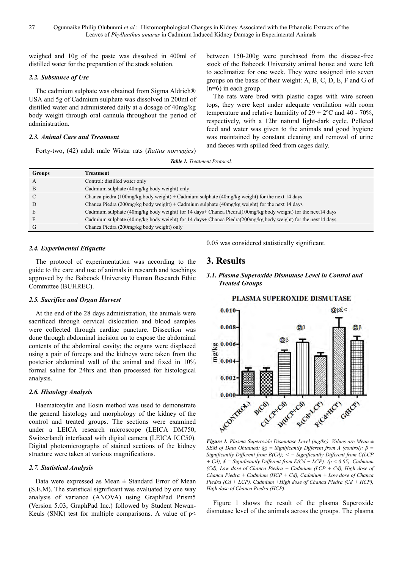weighed and 10g of the paste was dissolved in 400ml of distilled water for the preparation of the stock solution.

#### *2.2. Substance of Use*

The cadmium sulphate was obtained from Sigma Aldrich® USA and 5g of Cadmium sulphate was dissolved in 200ml of distilled water and administered daily at a dosage of 40mg/kg body weight through oral cannula throughout the period of administration.

#### *2.3. Animal Care and Treatment*

Forty-two, (42) adult male Wistar rats (*Rattus norvegics*)

between 150-200g were purchased from the disease-free stock of the Babcock University animal house and were left to acclimatize for one week. They were assigned into seven groups on the basis of their weight: A, B, C, D, E, F and G of (n=6) in each group.

The rats were bred with plastic cages with wire screen tops, they were kept under adequate ventilation with room temperature and relative humidity of  $29 + 2$ °C and 40 - 70%, respectively, with a 12hr natural light-dark cycle. Pelleted feed and water was given to the animals and good hygiene was maintained by constant cleaning and removal of urine and faeces with spilled feed from cages daily.

*Table 1. Treatment Protocol.* 

| Groups       | Treatment                                                                                                       |
|--------------|-----------------------------------------------------------------------------------------------------------------|
| $\mathbf{A}$ | Control: distilled water only                                                                                   |
| B            | Cadmium sulphate (40mg/kg body weight) only                                                                     |
| C            | Chanca piedra (100mg/kg body weight) + Cadmium sulphate (40mg/kg weight) for the next 14 days                   |
| D            | Chanca Piedra (200mg/kg body weight) + Cadmium sulphate (40mg/kg weight) for the next 14 days                   |
| E            | Cadmium sulphate (40mg/kg body weight) for 14 days+ Chanca Piedra( $100$ mg/kg body weight) for the next14 days |
|              | Cadmium sulphate (40mg/kg body weight) for 14 days+ Chanca Piedra( $200$ mg/kg body weight) for the next14 days |
| G            | Chanca Piedra (200mg/kg body weight) only                                                                       |

#### *2.4. Experimental Etiquette*

The protocol of experimentation was according to the guide to the care and use of animals in research and teachings approved by the Babcock University Human Research Ethic Committee (BUHREC).

#### *2.5. Sacrifice and Organ Harvest*

At the end of the 28 days administration, the animals were sacrificed through cervical dislocation and blood samples were collected through cardiac puncture. Dissection was done through abdominal incision on to expose the abdominal contents of the abdominal cavity; the organs were displaced using a pair of forceps and the kidneys were taken from the posterior abdominal wall of the animal and fixed in 10% formal saline for 24hrs and then processed for histological analysis.

#### *2.6. Histology Analysis*

Haematoxylin and Eosin method was used to demonstrate the general histology and morphology of the kidney of the control and treated groups. The sections were examined under a LEICA research microscope (LEICA DM750, Switzerland) interfaced with digital camera (LEICA ICC50). Digital photomicrographs of stained sections of the kidney structure were taken at various magnifications.

#### *2.7. Statistical Analysis*

Data were expressed as Mean  $\pm$  Standard Error of Mean (S.E.M). The statistical significant was evaluated by one way analysis of variance (ANOVA) using GraphPad Prism5 (Version 5.03, GraphPad Inc.) followed by Student Newan-Keuls (SNK) test for multiple comparisons. A value of  $p$  < 0.05 was considered statistically significant.

### **3. Results**

### *3.1. Plasma Superoxide Dismutase Level in Control and Treated Groups*



*Figure 1. Plasma Superoxide Dismutase Level (mg/kg). Values are Mean ± SEM of Data Obtained; @ = Significantly Different from A (control); β = Significantly Different from B(Cd); < = Significantly Different from C(LCP + Cd); £ = Significantly Different from E(Cd + LCP): (p < 0.05). Cadmium (Cd), Low dose of Chanca Piedra + Cadmium (LCP + Cd), High dose of Chanca Piedra + Cadmium (HCP + Cd), Cadmium + Low dose of Chanca Piedra (Cd + LCP), Cadmium +High dose of Chanca Piedra (Cd + HCP), High dose of Chanca Piedra (HCP).*

Figure 1 shows the result of the plasma Superoxide dismutase level of the animals across the groups. The plasma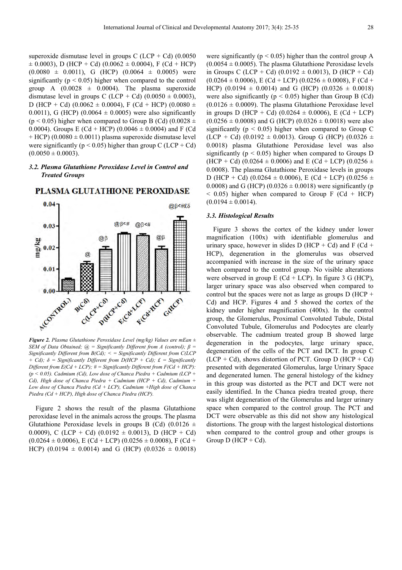superoxide dismutase level in groups C (LCP + Cd) (0.0050  $\pm$  0.0003), D (HCP + Cd) (0.0062  $\pm$  0.0004), F (Cd + HCP)  $(0.0080 \pm 0.0011)$ , G (HCP)  $(0.0064 \pm 0.0005)$  were significantly ( $p < 0.05$ ) higher when compared to the control group A  $(0.0028 \pm 0.0004)$ . The plasma superoxide dismutase level in groups C (LCP + Cd)  $(0.0050 \pm 0.0003)$ , D (HCP + Cd) (0.0062  $\pm$  0.0004), F (Cd + HCP) (0.0080  $\pm$ 0.0011), G (HCP) (0.0064  $\pm$  0.0005) were also significantly (p < 0.05) higher when compared to Group B (Cd) (0.0028  $\pm$ 0.0004). Groups E (Cd + HCP) (0.0046  $\pm$  0.0004) and F (Cd  $+$  HCP) (0.0080  $\pm$  0.0011) plasma superoxide dismutase level were significantly ( $p < 0.05$ ) higher than group C (LCP + Cd)  $(0.0050 \pm 0.0003)$ .

### *3.2. Plasma Glutathione Peroxidase Level in Control and Treated Groups*



PLASMA GLUTATHIONE PEROXIDASE

*Figure 2. Plasma Glutathione Peroxidase Level (mg/kg) Values are mEan ± SEM of Data Obtained; @ = Significantly Different from A (control); β = Significantly Different from B(Cd); < = Significantly Different from C(LCP + Cd); δ = Significantly Different from D(HCP + Cd); £ = Significantly Different from E(Cd + LCP);*  $# =$  *Significantly Different from F(Cd + HCP): (p < 0.05). Cadmium (Cd), Low dose of Chanca Piedra + Cadmium (LCP + Cd), High dose of Chanca Piedra + Cadmium (HCP + Cd), Cadmium + Low dose of Chanca Piedra (Cd + LCP), Cadmium +High dose of Chanca Piedra (Cd + HCP), High dose of Chanca Piedra (HCP).* 

Figure 2 shows the result of the plasma Glutathione peroxidase level in the animals across the groups. The plasma Glutathione Peroxidase levels in groups B (Cd)  $(0.0126 \pm$ 0.0009), C (LCP + Cd) (0.0192  $\pm$  0.0013), D (HCP + Cd)  $(0.0264 \pm 0.0006)$ , E (Cd + LCP)  $(0.0256 \pm 0.0008)$ , F (Cd + HCP) (0.0194  $\pm$  0.0014) and G (HCP) (0.0326  $\pm$  0.0018) were significantly ( $p < 0.05$ ) higher than the control group A  $(0.0054 \pm 0.0005)$ . The plasma Glutathione Peroxidase levels in Groups C (LCP + Cd) (0.0192  $\pm$  0.0013), D (HCP + Cd)  $(0.0264 \pm 0.0006)$ , E (Cd + LCP)  $(0.0256 \pm 0.0008)$ , F (Cd + HCP) (0.0194  $\pm$  0.0014) and G (HCP) (0.0326  $\pm$  0.0018) were also significantly ( $p < 0.05$ ) higher than Group B (Cd)  $(0.0126 \pm 0.0009)$ . The plasma Glutathione Peroxidase level in groups D (HCP + Cd) (0.0264  $\pm$  0.0006), E (Cd + LCP)  $(0.0256 \pm 0.0008)$  and G (HCP)  $(0.0326 \pm 0.0018)$  were also significantly ( $p < 0.05$ ) higher when compared to Group C (LCP + Cd) (0.0192  $\pm$  0.0013). Group G (HCP) (0.0326  $\pm$ 0.0018) plasma Glutathione Peroxidase level was also significantly ( $p < 0.05$ ) higher when compared to Groups D  $(HCP + Cd)$  (0.0264  $\pm$  0.0006) and E (Cd + LCP) (0.0256  $\pm$ 0.0008). The plasma Glutathione Peroxidase levels in groups D (HCP + Cd) (0.0264  $\pm$  0.0006), E (Cd + LCP) (0.0256  $\pm$ 0.0008) and G (HCP) (0.0326  $\pm$  0.0018) were significantly (p  $<$  0.05) higher when compared to Group F (Cd + HCP)  $(0.0194 \pm 0.0014)$ .

#### *3.3. Histological Results*

Figure 3 shows the cortex of the kidney under lower magnification (100x) with identifiable glomerulus and urinary space, however in slides D (HCP + Cd) and F (Cd + HCP), degeneration in the glomerulus was observed accompanied with increase in the size of the urinary space when compared to the control group. No visible alterations were observed in group  $E (Cd + LCP)$ . In figure 3 G (HCP), larger urinary space was also observed when compared to control but the spaces were not as large as groups  $D(HCP +$ Cd) and HCP. Figures 4 and 5 showed the cortex of the kidney under higher magnification (400x). In the control group, the Glomerulus, Proximal Convoluted Tubule, Distal Convoluted Tubule, Glomerulus and Podocytes are clearly observable. The cadmium treated group B showed large degeneration in the podocytes, large urinary space, degeneration of the cells of the PCT and DCT. In group C  $(LCD + Cd)$ , shows distortion of PCT. Group D (HCP + Cd) presented with degenerated Glomerulus, large Urinary Space and degenerated lumen. The general histology of the kidney in this group was distorted as the PCT and DCT were not easily identified. In the Chanca piedra treated group, there was slight degeneration of the Glomerulus and larger urinary space when compared to the control group. The PCT and DCT were observable as this did not show any histological distortions. The group with the largest histological distortions when compared to the control group and other groups is Group  $D$  (HCP + Cd).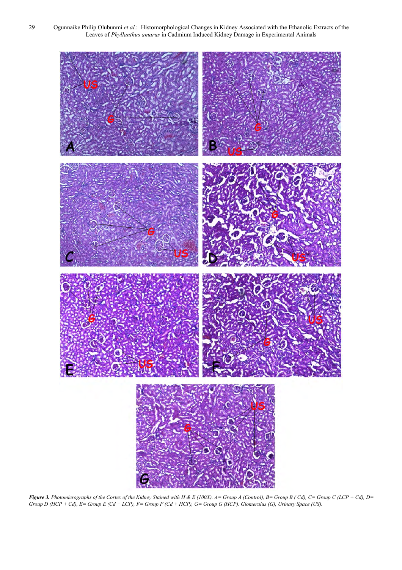29 Ogunnaike Philip Olubunmi *et al.*: Histomorphological Changes in Kidney Associated with the Ethanolic Extracts of the Leaves of *Phyllanthus amarus* in Cadmium Induced Kidney Damage in Experimental Animals



*Figure 3. Photomicrographs of the Cortex of the Kidney Stained with H & E (100X). A= Group A (Control), B= Group B ( Cd), C= Group C (LCP + Cd), D= Group D (HCP + Cd), E= Group E (Cd + LCP), F= Group F (Cd + HCP), G= Group G (HCP). Glomerulus (G), Urinary Space (US).*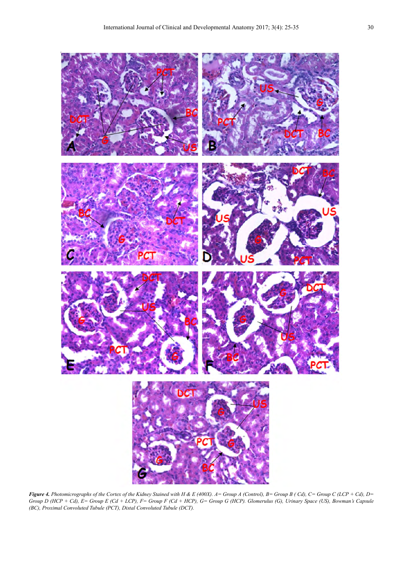

*Figure 4. Photomicrographs of the Cortex of the Kidney Stained with H & E (400X). A= Group A (Control), B= Group B ( Cd), C= Group C (LCP + Cd), D= Group D (HCP + Cd), E= Group E (Cd + LCP), F= Group F (Cd + HCP), G= Group G (HCP). Glomerulus (G), Urinary Space (US), Bowman's Capsule (BC), Proximal Convoluted Tubule (PCT), Distal Convoluted Tubule (DCT).*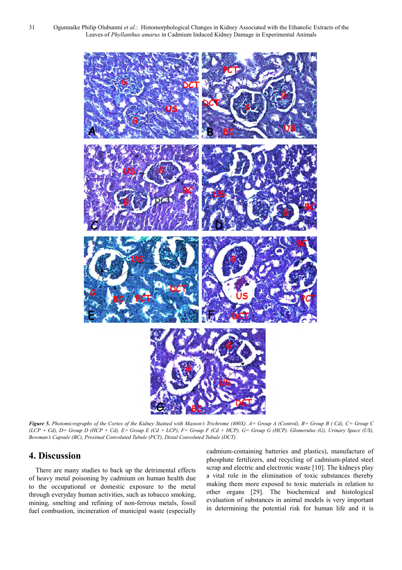31 Ogunnaike Philip Olubunmi *et al.*: Histomorphological Changes in Kidney Associated with the Ethanolic Extracts of the Leaves of *Phyllanthus amarus* in Cadmium Induced Kidney Damage in Experimental Animals



*Figure 5. Photomicrographs of the Cortex of the Kidney Stained with Masson's Trichrome (400X). A= Group A (Control), B= Group B ( Cd), C= Group C (LCP + Cd), D= Group D (HCP + Cd), E= Group E (Cd + LCP), F= Group F (Cd + HCP), G= Group G (HCP). Glomerulus (G), Urinary Space (US), Bowman's Capsule (BC), Proximal Convoluted Tubule (PCT), Distal Convoluted Tubule (DCT).* 

# **4. Discussion**

There are many studies to back up the detrimental effects of heavy metal poisoning by cadmium on human health due to the occupational or domestic exposure to the metal through everyday human activities, such as tobacco smoking, mining, smelting and refining of non-ferrous metals, fossil fuel combustion, incineration of municipal waste (especially

cadmium-containing batteries and plastics), manufacture of phosphate fertilizers, and recycling of cadmium-plated steel scrap and electric and electronic waste [10]. The kidneys play a vital role in the elimination of toxic substances thereby making them more exposed to toxic materials in relation to other organs [29]. The biochemical and histological evaluation of substances in animal models is very important in determining the potential risk for human life and it is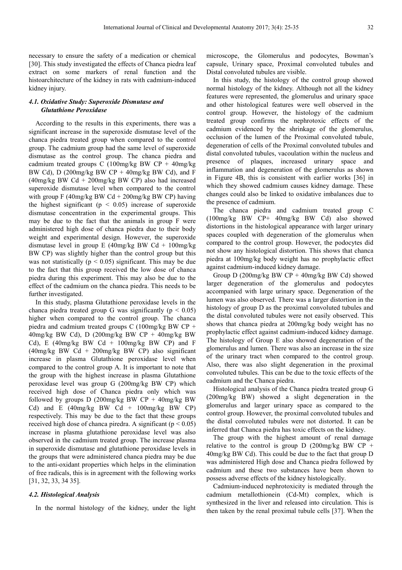necessary to ensure the safety of a medication or chemical [30]. This study investigated the effects of Chanca piedra leaf extract on some markers of renal function and the histoarchitecture of the kidney in rats with cadmium-induced kidney injury.

### *4.1. Oxidative Study: Superoxide Dismutase and Glutathione Peroxidase*

According to the results in this experiments, there was a significant increase in the superoxide dismutase level of the chanca piedra treated group when compared to the control group. The cadmium group had the same level of superoxide dismutase as the control group. The chanca piedra and cadmium treated groups C (100mg/kg BW CP + 40mg/kg BW Cd), D  $(200 \text{mg/kg BW CP} + 40 \text{mg/kg BW Cd})$ , and F  $(40mg/kg$  BW Cd + 200mg/kg BW CP) also had increased superoxide dismutase level when compared to the control with group F (40mg/kg BW Cd  $+$  200mg/kg BW CP) having the highest significant ( $p \leq 0.05$ ) increase of superoxide dismutase concentration in the experimental groups. This may be due to the fact that the animals in group F were administered high dose of chanca piedra due to their body weight and experimental design. However, the superoxide dismutase level in group E  $(40mg/kg$  BW Cd +  $100mg/kg$ BW CP) was slightly higher than the control group but this was not statistically ( $p < 0.05$ ) significant. This may be due to the fact that this group received the low dose of chanca piedra during this experiment. This may also be due to the effect of the cadmium on the chanca piedra. This needs to be further investigated.

In this study, plasma Glutathione peroxidase levels in the chanca piedra treated group G was significantly ( $p < 0.05$ ) higher when compared to the control group. The chanca piedra and cadmium treated groups C (100mg/kg BW CP + 40mg/kg BW Cd), D (200mg/kg BW CP + 40mg/kg BW Cd), E (40mg/kg BW Cd + 100mg/kg BW CP) and F  $(40mg/kg$  BW Cd + 200mg/kg BW CP) also significant increase in plasma Glutathione peroxidase level when compared to the control group A. It is important to note that the group with the highest increase in plasma Glutathione peroxidase level was group G (200mg/kg BW CP) which received high dose of Chanca piedra only which was followed by groups D (200mg/kg BW  $CP + 40$ mg/kg BW Cd) and E  $(40mg/kg$  BW Cd +  $100mg/kg$  BW CP) respectively. This may be due to the fact that these groups received high dose of chanca piredra. A significant ( $p < 0.05$ ) increase in plasma glutathione peroxidase level was also observed in the cadmium treated group. The increase plasma in superoxide dismutase and glutathione peroxidase levels in the groups that were administered chanca piedra may be due to the anti-oxidant properties which helps in the elimination of free radicals, this is in agreement with the following works [31, 32, 33, 34 35].

#### *4.2. Histological Analysis*

In the normal histology of the kidney, under the light

microscope, the Glomerulus and podocytes, Bowman's capsule, Urinary space, Proximal convoluted tubules and Distal convoluted tubules are visible.

In this study, the histology of the control group showed normal histology of the kidney. Although not all the kidney features were represented, the glomerulus and urinary space and other histological features were well observed in the control group. However, the histology of the cadmium treated group confirms the nephrotoxic effects of the cadmium evidenced by the shrinkage of the glomerulus, occlusion of the lumen of the Proximal convoluted tubule, degeneration of cells of the Proximal convoluted tubules and distal convoluted tubules, vacoulation within the nucleus and presence of plaques, increased urinary space and inflammation and degeneration of the glomerulus as shown in Figure 4B, this is consistent with earlier works [36] in which they showed cadmium causes kidney damage. These changes could also be linked to oxidative imbalances due to the presence of cadmium.

The chanca piedra and cadmium treated group C (100mg/kg BW CP+ 40mg/kg BW Cd) also showed distortions in the histological appearance with larger urinary spaces coupled with degeneration of the glomerulus when compared to the control group. However, the podocytes did not show any histological distortion. This shows that chanca piedra at 100mg/kg body weight has no prophylactic effect against cadmium-induced kidney damage.

Group D (200mg/kg BW CP + 40mg/kg BW Cd) showed larger degeneration of the glomerulus and podocytes accompanied with large urinary space. Degeneration of the lumen was also observed. There was a larger distortion in the histology of group D as the proximal convoluted tubules and the distal convoluted tubules were not easily observed. This shows that chanca piedra at 200mg/kg body weight has no prophylactic effect against cadmium-induced kidney damage. The histology of Group E also showed degeneration of the glomerulus and lumen. There was also an increase in the size of the urinary tract when compared to the control group. Also, there was also slight degeneration in the proximal convoluted tubules. This can be due to the toxic effects of the cadmium and the Chanca piedra.

Histological analysis of the Chanca piedra treated group G (200mg/kg BW) showed a slight degeneration in the glomerulus and larger urinary space as compared to the control group. However, the proximal convoluted tubules and the distal convoluted tubules were not distorted. It can be inferred that Chanca piedra has toxic effects on the kidney.

The group with the highest amount of renal damage relative to the control is group D (200mg/kg BW CP + 40mg/kg BW Cd). This could be due to the fact that group D was administered High dose and Chanca piedra followed by cadmium and these two substances have been shown to possess adverse effects of the kidney histologically.

Cadmium-induced nephrotoxicity is mediated through the cadmium metallothionein (Cd-Mt) complex, which is synthesized in the liver and released into circulation. This is then taken by the renal proximal tubule cells [37]. When the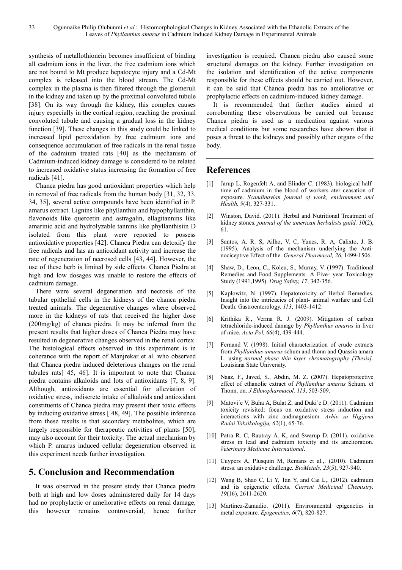synthesis of metallothionein becomes insufficient of binding all cadmium ions in the liver, the free cadmium ions which are not bound to Mt produce hepatocyte injury and a Cd-Mt complex is released into the blood stream. The Cd-Mt complex in the plasma is then filtered through the glomeruli in the kidney and taken up by the proximal convoluted tubule [38]. On its way through the kidney, this complex causes injury especially in the cortical region, reaching the proximal convoluted tubule and causing a gradual loss in the kidney function [39]. These changes in this study could be linked to increased lipid peroxidation by free cadmium ions and consequence accumulation of free radicals in the renal tissue of the cadmium treated rats [40] as the mechanism of Cadmium-induced kidney damage is considered to be related to increased oxidative status increasing the formation of free radicals [41].

Chanca piedra has good antioxidant properties which help in removal of free radicals from the human body [31, 32, 33, 34, 35], several active compounds have been identified in P. amarus extract. Lignins like phyllanthin and hypophyllanthin, flavonoids like quercetin and astragalin, ellagitannins like amarinic acid and hydrolyzable tannins like phyllanthisiin D isolated from this plant were reported to possess antioxidative properties [42]. Chanca Piedra can detoxify the free radicals and has an antioxidant activity and increase the rate of regeneration of necrosed cells [43, 44]. However, the use of these herb is limited by side effects. Chanca Piedra at high and low dosages was unable to restore the effects of cadmium damage.

There were several degeneration and necrosis of the tubular epithelial cells in the kidneys of the chanca piedra treated animals. The degenerative changes where observed more in the kidneys of rats that received the higher dose (200mg/kg) of chanca piedra. It may be inferred from the present results that higher doses of Chanca Piedra may have resulted in degenerative changes observed in the renal cortex. The histological effects observed in this experiment is in coherance with the report of Manjrekar et al. who observed that Chanca piedra induced deleterious changes on the renal tubules rats[ 45, 46]. It is important to note that Chanca piedra contains alkaloids and lots of antioxidants [7, 8, 9]. Although, antioxidants are essential for alleviation of oxidative stress, indiscrete intake of alkaloids and antioxidant constituents of Chanca piedra may present their toxic effects by inducing oxidative stress [ 48, 49]. The possible inference from these results is that secondary metabolites, which are largely responsible for therapeutic activities of plants [50], may also account for their toxicity. The actual mechanism by which P. amarus induced cellular degeneration observed in this experiment needs further investigation.

# **5. Conclusion and Recommendation**

It was observed in the present study that Chanca piedra both at high and low doses administered daily for 14 days had no prophylactic or ameliorative effects on renal damage, this however remains controversial, hence further investigation is required. Chanca piedra also caused some structural damages on the kidney. Further investigation on the isolation and identification of the active components responsible for these effects should be carried out. However, it can be said that Chanca piedra has no ameliorative or prophylactic effects on cadmium-induced kidney damage.

It is recommended that further studies aimed at corroborating these observations be carried out because Chanca piedra is used as a medication against various medical conditions but some researches have shown that it poses a threat to the kidneys and possibly other organs of the body.

# **References**

- Jarup L, Rogenfelt A, and Elinder C. (1983). biological halftime of cadmium in the blood of workers ater ceasation of exposure. *Scandinavian journal of work, environment and Health, 9*(4), 327-331.
- [2] Winston, David. (2011). Herbal and Nutritional Treatment of kidney stones. *journal of the american herbalists guild, 10*(2), 61.
- [3] Santos, A. R. S, Ailho, V. C, Yunes, R. A, Calixto, J. B. (1995). Analysis of the mechanism underlying the Antinociceptive Effect of the. *General Pharmacol, 26*, 1499-1506.
- [4] Shaw, D., Leon, C., Koleu, S., Murray, V. (1997). Traditional Remedies and Food Supplements. A Five- year Toxicology Study (1991,1995). *Drug Safety, 17*, 342-356.
- [5] Kaplowitz, N. (1997). Hepatotoxicity of Herbal Remedies. Insight into the intricacies of plant- animal warfare and Cell Death. Gastroenterology. *113*, 1403-1412.
- [6] Krithika R., Verma R. J. (2009). Mitigation of carbon tetrachloride-induced damage by *Phyllanthus amarus* in liver of mice. *Acta Pol, 66*(4), 439-444.
- [7] Fernand V. (1998). Initial characterization of crude extracts from *Phyllanthus amarus* schum and thonn and Quassia amara L. using *normal phase thin layer chromatography [Thesis].* Louisiana State University.
- [8] Naaz, F., Javed, S., Abdin, M. Z. (2007). Hepatoprotective effect of ethanolic extract of *Phyllanthus amarus* Schum. et Thonn. on. *J Ethnopharmacol, 113*, 503-509.
- [9] Matovi´c V, Buha A, Bulat Z, and Duki´c D. (2011). Cadmium toxicity revisited: focus on oxidative stress induction and interactions with zinc andmagnesium. *Arhiv za Higijenu Radai Toksikologiju, 62*(1), 65-76.
- [10] Patra R. C, Rautray A. K, and Swarup D. (2011). oxidative stress in lead and cadmium toxicity and its amelioration. *Veterinary Medicine International*.
- [11] Cuypers A, Plusquin M, Remans et al.,. (2010). Cadmium stress: an oxidative challenge. *BioMetals, 23*(5), 927-940.
- [12] Wang B, Shao C, Li Y, Tan Y, and Cai L,. (2012). cadmium and its epigenetic effects. *Current Medicinal Chemistry, 19*(16), 2611-2620.
- [13] Martinez-Zamudio. (2011). Environmental epigenetics in metal exposure. *Epigenetics, 6*(7), 820-827.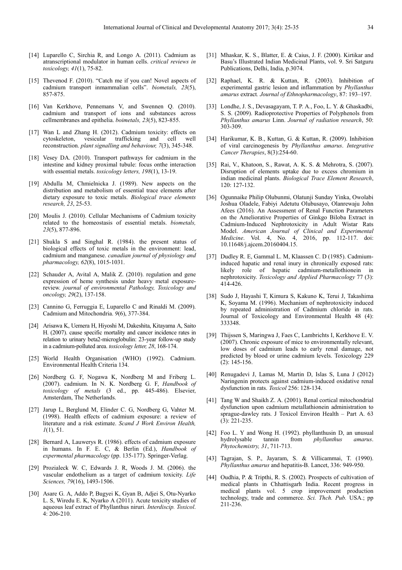- [14] Luparello C, Sirchia R, and Longo A. (2011). Cadmium as atranscriptional modulator in human cells. *critical reviews in toxicology, 41*(1), 75-82.
- [15] Thevenod F. (2010). "Catch me if you can! Novel aspects of cadmium transport inmammalian cells". *biometals, 23*(5), 857-875.
- [16] Van Kerkhove, Pennemans V, and Swennen Q. (2010). cadmium and transport of ions and substances across cellmembranes and epithelia. *boimetals, 23*(5), 823-855.
- [17] Wan L and Zhang H. (2012). Cadmium toxicity: effects on cytoskeleton, vesicular trafficking and cell well reconstruction. *plant signalling and behaviour, 7*(3), 345-348.
- [18] Vesey DA. (2010). Transport pathways for cadmium in the intestine and kidney proximal tubule: focus onthe interaction with essential metals. *toxicology letters, 198*(1), 13-19.
- [19] Abdulla M, Chmielnicka J. (1989). New aspects on the distribution and metabolism of essential trace elements after dietary exposure to toxic metals. *Biological trace elements research, 23*, 25-53.
- [20] Moulis J. (2010). Cellular Mechanisms of Cadmium toxicity related to the homeostasis of essential metals. *biometals, 23*(5), 877-896.
- [21] Shukla S and Singhal R. (1984), the present status of biological effects of toxic metals in the environment: lead, cadmium and manganese. *canadian journal of physiology and pharmacology, 62*(8), 1015-1031.
- [22] Schauder A, Avital A, Malik Z. (2010). regulation and gene expression of heme synthesis under heavy metal exposurereview. *journal of environmental Pathology, Toxicology and oncology, 29*(2), 137-158.
- [23] Cannino G, Ferruggia E, Luparello C and Rinaldi M. (2009). Cadmium and Mitochondria. *9*(6), 377-384.
- [24] Arisawa K, Uemera H, Hiyoshi M, Dakeshita, Kitayama A, Saito H. (2007). cause specific mortality and cancer incidence rates in relation to urinary beta2-microglobulin: 23-year follow-up study in a cadmium-polluted area. *toxicology letter, 28*, 168-174.
- [25] World Health Organisation (WHO) (1992). Cadmium. Environmental Health Criteria 134.
- [26] Nordberg G. F, Nogawa K, Nordberg M and Friberg L. (2007). cadmium. In N. K. Nordberg G. F, *Handbook of toxicology of metals* (3 ed., pp. 445-486). Elsevier, Amsterdam, The Netherlands.
- [27] Jarup L, Berglund M, Elinder C. G, Nordberg G, Vahter M. (1998). Health effects of cadmium exposure: a review of literature and a risk estimate. *Scand J Work Environ Health, 1*(1), 51.
- [28] Bernard A, Lauwerys R. (1986). effects of cadmium exposure in humans. In F. E. C, & Berlin (Ed.), *Handbook of expermental pharmacology* (pp. 135-177). Springer-Verlag.
- [29] Prozialeck W. C, Edwards J. R, Woods J. M. (2006). the vascular endothelium as a target of cadmium toxicity. *Life Sciences, 79*(16), 1493-1506.
- [30] Asare G. A, Addo P, Bugyei K, Gyan B, Adjei S, Otu-Nyarko L. S, Wiredu E. K, Nyarko A (2011). Acute toxicity studies of aqueous leaf extract of Phyllanthus niruri*. Interdiscip. Toxicol*. 4: 206-210.
- [31] Mhaskar, K. S., Blatter, E. & Caius, J. F. (2000). Kirtikar and Basu's Illustrated Indian Medicinal Plants, vol. 9. Sri Satguru Publications, Delhi, India, p.3074.
- [32] Raphael, K. R. & Kuttan, R. (2003). Inhibition of experimental gastric lesion and inflammation by *Phyllanthus amarus* extract*. Journal of Ethnopharmacology*, 87: 193–197.
- [33] Londhe, J. S., Devasagayam, T. P. A., Foo, L. Y. & Ghaskadbi, S. S. (2009). Radioprotective Properties of Polyphenols from *Phyllanthus amarus* Linn. *Journal of radiation research*, 50: 303-309.
- [34] Harikumar, K. B., Kuttan, G. & Kuttan, R. (2009). Inhibition of viral carcinogenesis by *Phyllanthus amarus*. *Integrative Cancer Therapies*, 8(3):254-60.
- [35] Rai, V., Khatoon, S., Rawat, A. K. S. & Mehrotra, S. (2007). Disruption of elements uptake due to excess chromium in indian medicinal plants. *Biological Trace Element Research*, 120: 127-132.
- [36] Ogunnaike Philip Olubunmi, Olatunii Sunday Yinka, Owolabi Joshua Oladele, Fabiyi Adetutu Olubusayo, Olanrewaju John Afees (2016). An Assessment of Renal Function Parameters on the Ameliorative Properties of Ginkgo Biloba Extract in Cadmium-Induced Nephrotoxicity in Adult Wistar Rats Model. *American Journal of Clinical and Experimental Medicine*. Vol. 4, No. 4, 2016, pp. 112-117. doi: 10.11648/j.ajcem.20160404.15.
- [37] Dudley R. E, Gammal L. M, Klaassen C. D (1985). Cadmiuminduced hapatic and renal inury in chronically exposed rats: likely role of hepatic cadmium-metallothionein in nephrotoxicity. *Toxicology and Applied Pharmacology* 77 (3): 414-426.
- [38] Sudo J, Hayashi T, Kimura S, Kakuno K, Terui J, Takashima K, Soyama M. (1996). Mechanism of nephrotoxicity induced by repeated administration of Cadmium chloride in rats. Journal of Toxicology and Environmental Health 48 (4): 333348.
- [39] Thijssen S, Maringwa J, Faes C, Lambrichts I, Kerkhove E. V. (2007). Chronic exposure of mice to environmentally relevant, low doses of cadmium leads to early renal damage, not predicted by blood or urine cadmium levels. Toxicology 229 (2): 145-156.
- [40] Renugadevi J, Lamas M, Martin D, Islas S, Luna J (2012) Naringenin protects against cadmium-induced oxidative renal dysfunction in rats. *Toxicol* 256: 128-134.
- [41] Tang W and Shaikh Z. A. (2001). Renal cortical mitochondrial dysfunction upon cadmium metallathionein administration to sprague-dawley rats. J Toxicol Environ Health – Part A. 63 (3): 221-235.
- [42] Foo L. Y and Wong H. (1992). phyllanthusin D, an unusual hydrolysable tannin from *phyllanthus amarus*. *Phytochemistry, 31*, 711-713.
- [43] Tagrajan, S. P., Jayaram, S. & Villicammai, T. (1990). *Phyllanthus amarus* and hepatitis-B. Lancet, 336: 949-950.
- [44] Oudhia, P. & Tripthi, R. S. (2002). Prospects of cultivation of medical plants in Chhattisgarh India. Recent progress in medical plants vol. 5 crop improvement production technology, trade and commerce. *Sci. Thch. Pub.* USA.; pp 211-236.